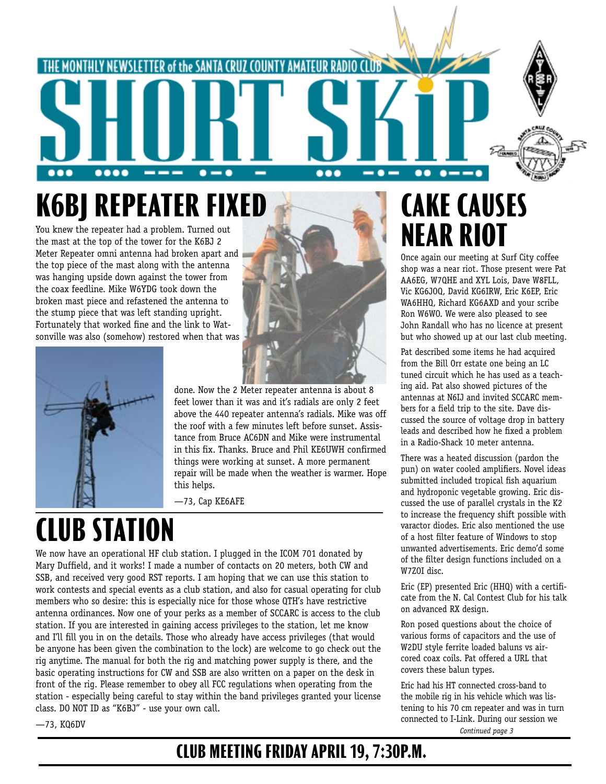

## **K6BJ REPEATER FIXED**

You knew the repeater had a problem. Turned out the mast at the top of the tower for the K6BJ 2 Meter Repeater omni antenna had broken apart and the top piece of the mast along with the antenna was hanging upside down against the tower from the coax feedline. Mike W6YDG took down the broken mast piece and refastened the antenna to the stump piece that was left standing upright. Fortunately that worked fine and the link to Watsonville was also (somehow) restored when that was



done. Now the 2 Meter repeater antenna is about 8 feet lower than it was and it's radials are only 2 feet above the 440 repeater antenna's radials. Mike was off the roof with a few minutes left before sunset. Assistance from Bruce AC6DN and Mike were instrumental in this fix. Thanks. Bruce and Phil KE6UWH confirmed things were working at sunset. A more permanent repair will be made when the weather is warmer. Hope this helps.

—73, Cap KE6AFE

## **CLUB STATION**

We now have an operational HF club station. I plugged in the ICOM 701 donated by Mary Duffield, and it works! I made a number of contacts on 20 meters, both CW and SSB, and received very good RST reports. I am hoping that we can use this station to work contests and special events as a club station, and also for casual operating for club members who so desire: this is especially nice for those whose QTH's have restrictive antenna ordinances. Now one of your perks as a member of SCCARC is access to the club station. If you are interested in gaining access privileges to the station, let me know and I'll fill you in on the details. Those who already have access privileges (that would be anyone has been given the combination to the lock) are welcome to go check out the rig anytime. The manual for both the rig and matching power supply is there, and the basic operating instructions for CW and SSB are also written on a paper on the desk in front of the rig. Please remember to obey all FCC regulations when operating from the station - especially being careful to stay within the band privileges granted your license class. DO NOT ID as "K6BJ" - use your own call.

### **CAKE CAUSES NEAR RIOT**

Once again our meeting at Surf City coffee shop was a near riot. Those present were Pat AA6EG, W7QHE and XYL Lois, Dave W8FLL, Vic KG6JOQ, David KG6IRW, Eric K6EP, Eric WA6HHQ, Richard KG6AXD and your scribe Ron W6WO. We were also pleased to see John Randall who has no licence at present but who showed up at our last club meeting.

Pat described some items he had acquired from the Bill Orr estate one being an LC tuned circuit which he has used as a teaching aid. Pat also showed pictures of the antennas at N6IJ and invited SCCARC members for a field trip to the site. Dave discussed the source of voltage drop in battery leads and described how he fixed a problem in a Radio-Shack 10 meter antenna.

There was a heated discussion (pardon the pun) on water cooled amplifiers. Novel ideas submitted included tropical fish aquarium and hydroponic vegetable growing. Eric discussed the use of parallel crystals in the K2 to increase the frequency shift possible with varactor diodes. Eric also mentioned the use of a host filter feature of Windows to stop unwanted advertisements. Eric demo'd some of the filter design functions included on a W7ZOI disc.

Eric (EP) presented Eric (HHQ) with a certificate from the N. Cal Contest Club for his talk on advanced RX design.

Ron posed questions about the choice of various forms of capacitors and the use of W2DU style ferrite loaded baluns vs aircored coax coils. Pat offered a URL that covers these balun types.

*Continued page 3* Eric had his HT connected cross-band to the mobile rig in his vehicle which was listening to his 70 cm repeater and was in turn connected to I-Link. During our session we

—73, KQ6DV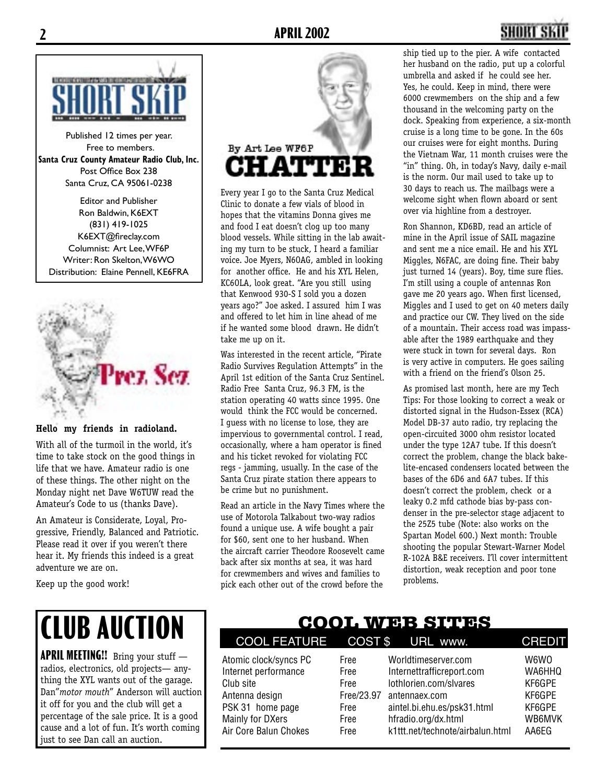

Published 12 times per year. Free to members. **Santa Cruz County Amateur Radio Club, Inc.** Post Office Box 238 Santa Cruz, CA 95061-0238

Editor and Publisher Ron Baldwin, K6EXT (831) 419-1025 K6EXT@fireclay.com Columnist: Art Lee, WF6P Writer: Ron Skelton, W6WO Distribution: Elaine Pennell, KE6FRA



#### **Hello my friends in radioland.**

With all of the turmoil in the world, it's time to take stock on the good things in life that we have. Amateur radio is one of these things. The other night on the Monday night net Dave W6TUW read the Amateur's Code to us (thanks Dave).

An Amateur is Considerate, Loyal, Progressive, Friendly, Balanced and Patriotic. Please read it over if you weren't there hear it. My friends this indeed is a great adventure we are on.

Keep up the good work!

# By Art Lee WF6P **CHATTE!**

Every year I go to the Santa Cruz Medical Clinic to donate a few vials of blood in hopes that the vitamins Donna gives me and food I eat doesn't clog up too many blood vessels. While sitting in the lab awaiting my turn to be stuck, I heard a familiar voice. Joe Myers, N6OAG, ambled in looking for another office. He and his XYL Helen, KC6OLA, look great. "Are you still using that Kenwood 930-S I sold you a dozen years ago?" Joe asked. I assured him I was and offered to let him in line ahead of me if he wanted some blood drawn. He didn't take me up on it.

Was interested in the recent article, "Pirate Radio Survives Regulation Attempts" in the April 1st edition of the Santa Cruz Sentinel. Radio Free Santa Cruz, 96.3 FM, is the station operating 40 watts since 1995. One would think the FCC would be concerned. I guess with no license to lose, they are impervious to governmental control. I read, occasionally, where a ham operator is fined and his ticket revoked for violating FCC regs - jamming, usually. In the case of the Santa Cruz pirate station there appears to be crime but no punishment.

Read an article in the Navy Times where the use of Motorola Talkabout two-way radios found a unique use. A wife bought a pair for \$60, sent one to her husband. When the aircraft carrier Theodore Roosevelt came back after six months at sea, it was hard for crewmembers and wives and families to pick each other out of the crowd before the

ship tied up to the pier. A wife contacted her husband on the radio, put up a colorful umbrella and asked if he could see her. Yes, he could. Keep in mind, there were 6000 crewmembers on the ship and a few thousand in the welcoming party on the dock. Speaking from experience, a six-month cruise is a long time to be gone. In the 60s our cruises were for eight months. During the Vietnam War, 11 month cruises were the "in" thing. Oh, in today's Navy, daily e-mail is the norm. Our mail used to take up to 30 days to reach us. The mailbags were a welcome sight when flown aboard or sent over via highline from a destroyer.

Ron Shannon, KD6BD, read an article of mine in the April issue of SAIL magazine and sent me a nice email. He and his XYL Miggles, N6FAC, are doing fine. Their baby just turned 14 (years). Boy, time sure flies. I'm still using a couple of antennas Ron gave me 20 years ago. When first licensed, Miggles and I used to get on 40 meters daily and practice our CW. They lived on the side of a mountain. Their access road was impassable after the 1989 earthquake and they were stuck in town for several days. Ron is very active in computers. He goes sailing with a friend on the friend's Olson 25.

As promised last month, here are my Tech Tips: For those looking to correct a weak or distorted signal in the Hudson-Essex (RCA) Model DB-37 auto radio, try replacing the open-circuited 3000 ohm resistor located under the type 12A7 tube. If this doesn't correct the problem, change the black bakelite-encased condensers located between the bases of the 6D6 and 6A7 tubes. If this doesn't correct the problem, check or a leaky 0.2 mfd cathode bias by-pass condenser in the pre-selector stage adjacent to the 25Z5 tube (Note: also works on the Spartan Model 600.) Next month: Trouble shooting the popular Stewart-Warner Model R-102A B&E receivers. I'll cover intermittent distortion, weak reception and poor tone problems.

# **CLUB AUCTION**

**APRIL MEETING!!** Bring your stuff radios, electronics, old projects— anything the XYL wants out of the garage. Dan"*motor mouth*" Anderson will auction it off for you and the club will get a percentage of the sale price. It is a good cause and a lot of fun. It's worth coming just to see Dan call an auction.

### **COOL WEB SITES**

| COOL FEATURE COST \$                                                                                                                          |                                                            | URL www.                                                                                                                                                                              | <b>CREDIT</b>                                                   |
|-----------------------------------------------------------------------------------------------------------------------------------------------|------------------------------------------------------------|---------------------------------------------------------------------------------------------------------------------------------------------------------------------------------------|-----------------------------------------------------------------|
| Atomic clock/syncs PC<br>Internet performance<br>Club site<br>Antenna design<br>PSK 31 home page<br>Mainly for DXers<br>Air Core Balun Chokes | Free<br>Free<br>Free<br>Free/23.97<br>Free<br>Free<br>Free | Worldtimeserver.com<br>Internettrafficreport.com<br>lothlorien.com/slvares<br>antennaex.com<br>aintel.bi.ehu.es/psk31.html<br>hfradio.org/dx.html<br>k1ttt.net/technote/airbalun.html | W6WO<br>WA6HHQ<br>KF6GPE<br>KF6GPE<br>KF6GPE<br>WB6MVK<br>AA6EG |
|                                                                                                                                               |                                                            |                                                                                                                                                                                       |                                                                 |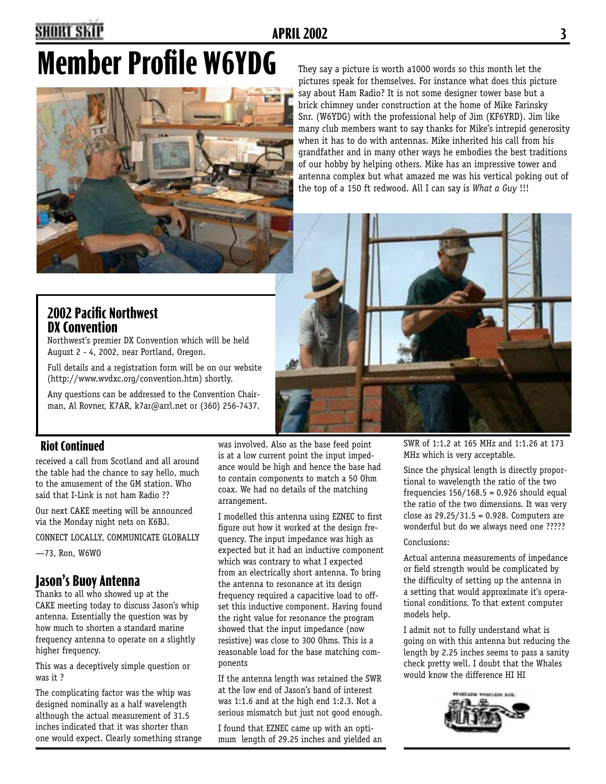### **2 APRIL 2002 3**

# **Member Profile W6YDG** They say a picture is worth a1000 words so this month let the



pictures speak for themselves. For instance what does this picture say about Ham Radio? It is not some designer tower base but a brick chimney under construction at the home of Mike Farinsky Snr. (W6YDG) with the professional help of Jim (KF6YRD). Jim like many club members want to say thanks for Mike's intrepid generosity when it has to do with antennas. Mike inherited his call from his grandfather and in many other ways he embodies the best traditions of our hobby by helping others. Mike has an impressive tower and antenna complex but what amazed me was his vertical poking out of the top of a 150 ft redwood. All I can say is *What a Guy* !!!



### **2002 Pacific Northwest DX Convention**

Northwest's premier DX Convention which will be held August 2 - 4, 2002, near Portland, Oregon.

Full details and a registration form will be on our website (http://www.wvdxc.org/convention.htm) shortly.

Any questions can be addressed to the Convention Chairman, Al Rovner, K7AR, k7ar@arrl.net or (360) 256-7437.

#### **Riot Continued**

received a call from Scotland and all around the table had the chance to say hello, much to the amusement of the GM station. Who said that I-Link is not ham Radio ??

Our next CAKE meeting will be announced via the Monday night nets on K6BJ.

CONNECT LOCALLY, COMMUNICATE GLOBALLY

—73, Ron, W6WO

### **Jason's Buoy Antenna**

Thanks to all who showed up at the CAKE meeting today to discuss Jason's whip antenna. Essentially the question was by how much to shorten a standard marine frequency antenna to operate on a slightly higher frequency.

This was a deceptively simple question or was it ?

The complicating factor was the whip was designed nominally as a half wavelength although the actual measurement of 31.5 inches indicated that it was shorter than one would expect. Clearly something strange

was involved. Also as the base feed point is at a low current point the input impedance would be high and hence the base had to contain components to match a 50 Ohm coax. We had no details of the matching arrangement.

I modelled this antenna using EZNEC to first figure out how it worked at the design frequency. The input impedance was high as expected but it had an inductive component which was contrary to what I expected from an electrically short antenna. To bring the antenna to resonance at its design frequency required a capacitive load to offset this inductive component. Having found the right value for resonance the program showed that the input impedance (now resistive) was close to 300 Ohms. This is a reasonable load for the base matching components

If the antenna length was retained the SWR at the low end of Jason's band of interest was 1:1.6 and at the high end 1:2.3. Not a serious mismatch but just not good enough.

I found that EZNEC came up with an optimum length of 29.25 inches and yielded an SWR of 1:1.2 at 165 MHz and 1:1.26 at 173 MHz which is very acceptable.

Since the physical length is directly proportional to wavelength the ratio of the two frequencies  $156/168.5 = 0.926$  should equal the ratio of the two dimensions. It was very close as 29.25/31.5 = 0.928. Computers are wonderful but do we always need one ?????

#### Conclusions:

Actual antenna measurements of impedance or field strength would be complicated by the difficulty of setting up the antenna in a setting that would approximate it's operational conditions. To that extent computer models help.

I admit not to fully understand what is going on with this antenna but reducing the length by 2.25 inches seems to pass a sanity check pretty well. I doubt that the Whales would know the difference HI HI